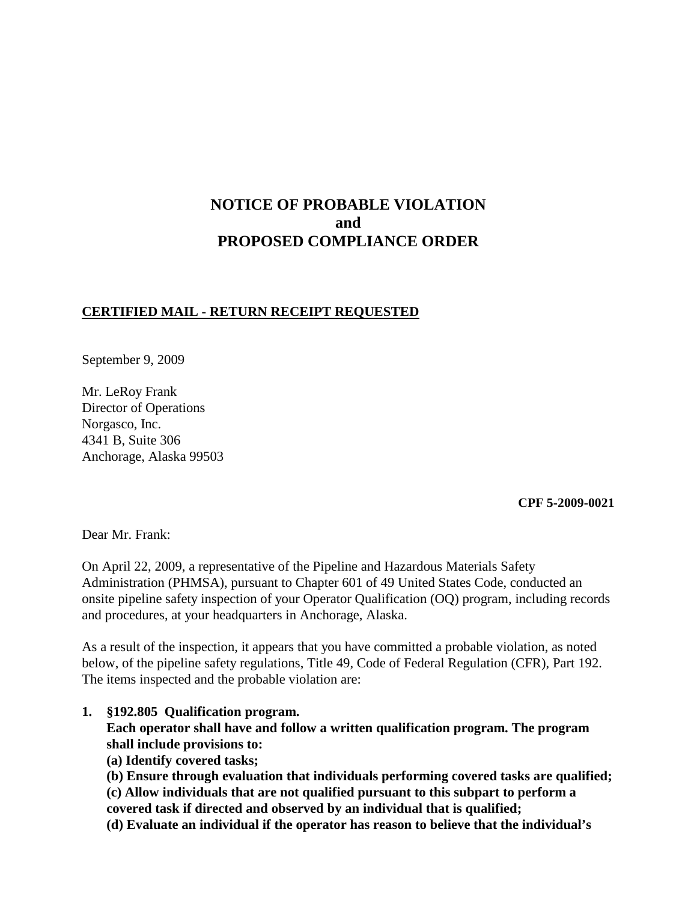# **NOTICE OF PROBABLE VIOLATION and PROPOSED COMPLIANCE ORDER**

## **CERTIFIED MAIL - RETURN RECEIPT REQUESTED**

September 9, 2009

Mr. LeRoy Frank Director of Operations Norgasco, Inc. 4341 B, Suite 306 Anchorage, Alaska 99503

**CPF 5-2009-0021**

Dear Mr. Frank:

On April 22, 2009, a representative of the Pipeline and Hazardous Materials Safety Administration (PHMSA), pursuant to Chapter 601 of 49 United States Code, conducted an onsite pipeline safety inspection of your Operator Qualification (OQ) program, including records and procedures, at your headquarters in Anchorage, Alaska.

As a result of the inspection, it appears that you have committed a probable violation, as noted below, of the pipeline safety regulations, Title 49, Code of Federal Regulation (CFR), Part 192. The items inspected and the probable violation are:

**1. §192.805 Qualification program.** 

**Each operator shall have and follow a written qualification program. The program shall include provisions to:**

**(a) Identify covered tasks;**

**(b) Ensure through evaluation that individuals performing covered tasks are qualified;**

**(c) Allow individuals that are not qualified pursuant to this subpart to perform a covered task if directed and observed by an individual that is qualified;**

**(d) Evaluate an individual if the operator has reason to believe that the individual's**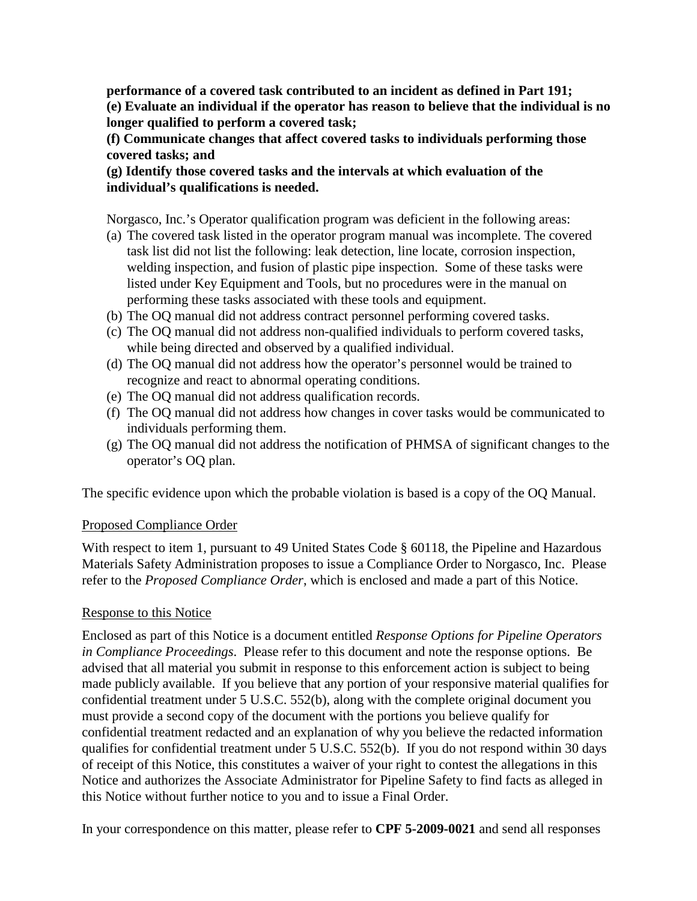**performance of a covered task contributed to an incident as defined in Part 191; (e) Evaluate an individual if the operator has reason to believe that the individual is no longer qualified to perform a covered task;**

**(f) Communicate changes that affect covered tasks to individuals performing those covered tasks; and**

**(g) Identify those covered tasks and the intervals at which evaluation of the individual's qualifications is needed.**

Norgasco, Inc.'s Operator qualification program was deficient in the following areas:

- (a) The covered task listed in the operator program manual was incomplete. The covered task list did not list the following: leak detection, line locate, corrosion inspection, welding inspection, and fusion of plastic pipe inspection. Some of these tasks were listed under Key Equipment and Tools, but no procedures were in the manual on performing these tasks associated with these tools and equipment.
- (b) The OQ manual did not address contract personnel performing covered tasks.
- (c) The OQ manual did not address non-qualified individuals to perform covered tasks, while being directed and observed by a qualified individual.
- (d) The OQ manual did not address how the operator's personnel would be trained to recognize and react to abnormal operating conditions.
- (e) The OQ manual did not address qualification records.
- (f) The OQ manual did not address how changes in cover tasks would be communicated to individuals performing them.
- (g) The OQ manual did not address the notification of PHMSA of significant changes to the operator's OQ plan.

The specific evidence upon which the probable violation is based is a copy of the OQ Manual.

## Proposed Compliance Order

With respect to item 1, pursuant to 49 United States Code § 60118, the Pipeline and Hazardous Materials Safety Administration proposes to issue a Compliance Order to Norgasco, Inc. Please refer to the *Proposed Compliance Order*, which is enclosed and made a part of this Notice.

## Response to this Notice

Enclosed as part of this Notice is a document entitled *Response Options for Pipeline Operators in Compliance Proceedings*. Please refer to this document and note the response options. Be advised that all material you submit in response to this enforcement action is subject to being made publicly available. If you believe that any portion of your responsive material qualifies for confidential treatment under 5 U.S.C. 552(b), along with the complete original document you must provide a second copy of the document with the portions you believe qualify for confidential treatment redacted and an explanation of why you believe the redacted information qualifies for confidential treatment under 5 U.S.C. 552(b). If you do not respond within 30 days of receipt of this Notice, this constitutes a waiver of your right to contest the allegations in this Notice and authorizes the Associate Administrator for Pipeline Safety to find facts as alleged in this Notice without further notice to you and to issue a Final Order.

In your correspondence on this matter, please refer to **CPF 5-2009-0021** and send all responses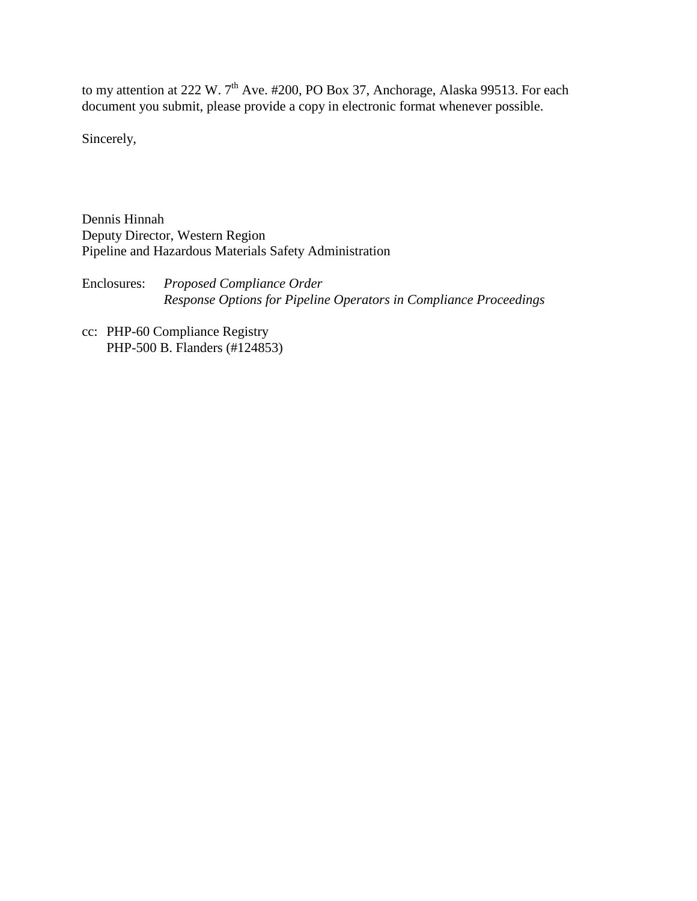to my attention at 222 W.  $7<sup>th</sup>$  Ave. #200, PO Box 37, Anchorage, Alaska 99513. For each document you submit, please provide a copy in electronic format whenever possible.

Sincerely,

Dennis Hinnah Deputy Director, Western Region Pipeline and Hazardous Materials Safety Administration

Enclosures: *Proposed Compliance Order Response Options for Pipeline Operators in Compliance Proceedings*

cc: PHP-60 Compliance Registry PHP-500 B. Flanders (#124853)